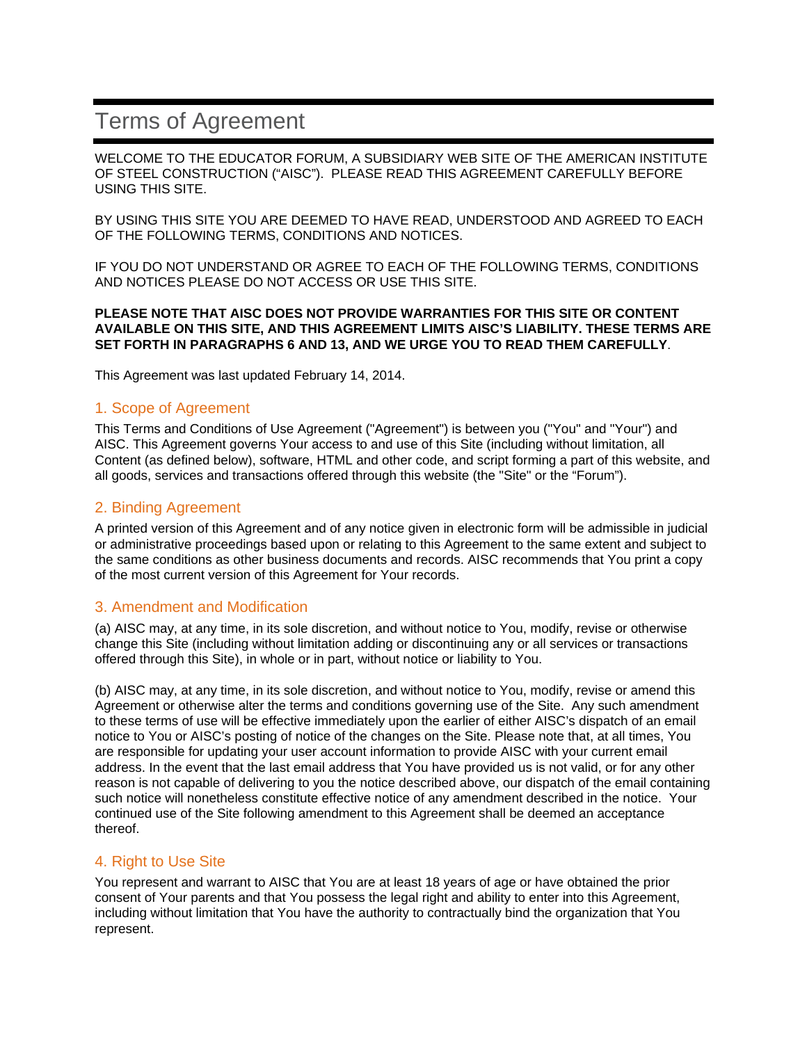# Terms of Agreement

WELCOME TO THE EDUCATOR FORUM, A SUBSIDIARY WEB SITE OF THE AMERICAN INSTITUTE OF STEEL CONSTRUCTION ("AISC"). PLEASE READ THIS AGREEMENT CAREFULLY BEFORE USING THIS SITE.

BY USING THIS SITE YOU ARE DEEMED TO HAVE READ, UNDERSTOOD AND AGREED TO EACH OF THE FOLLOWING TERMS, CONDITIONS AND NOTICES.

IF YOU DO NOT UNDERSTAND OR AGREE TO EACH OF THE FOLLOWING TERMS, CONDITIONS AND NOTICES PLEASE DO NOT ACCESS OR USE THIS SITE.

#### **PLEASE NOTE THAT AISC DOES NOT PROVIDE WARRANTIES FOR THIS SITE OR CONTENT AVAILABLE ON THIS SITE, AND THIS AGREEMENT LIMITS AISC'S LIABILITY. THESE TERMS ARE SET FORTH IN PARAGRAPHS 6 AND 13, AND WE URGE YOU TO READ THEM CAREFULLY**.

This Agreement was last updated February 14, 2014.

## 1. Scope of Agreement

This Terms and Conditions of Use Agreement ("Agreement") is between you ("You" and "Your") and AISC. This Agreement governs Your access to and use of this Site (including without limitation, all Content (as defined below), software, HTML and other code, and script forming a part of this website, and all goods, services and transactions offered through this website (the "Site" or the "Forum").

## 2. Binding Agreement

A printed version of this Agreement and of any notice given in electronic form will be admissible in judicial or administrative proceedings based upon or relating to this Agreement to the same extent and subject to the same conditions as other business documents and records. AISC recommends that You print a copy of the most current version of this Agreement for Your records.

## 3. Amendment and Modification

(a) AISC may, at any time, in its sole discretion, and without notice to You, modify, revise or otherwise change this Site (including without limitation adding or discontinuing any or all services or transactions offered through this Site), in whole or in part, without notice or liability to You.

(b) AISC may, at any time, in its sole discretion, and without notice to You, modify, revise or amend this Agreement or otherwise alter the terms and conditions governing use of the Site. Any such amendment to these terms of use will be effective immediately upon the earlier of either AISC's dispatch of an email notice to You or AISC's posting of notice of the changes on the Site. Please note that, at all times, You are responsible for updating your user account information to provide AISC with your current email address. In the event that the last email address that You have provided us is not valid, or for any other reason is not capable of delivering to you the notice described above, our dispatch of the email containing such notice will nonetheless constitute effective notice of any amendment described in the notice. Your continued use of the Site following amendment to this Agreement shall be deemed an acceptance thereof.

## 4. Right to Use Site

You represent and warrant to AISC that You are at least 18 years of age or have obtained the prior consent of Your parents and that You possess the legal right and ability to enter into this Agreement, including without limitation that You have the authority to contractually bind the organization that You represent.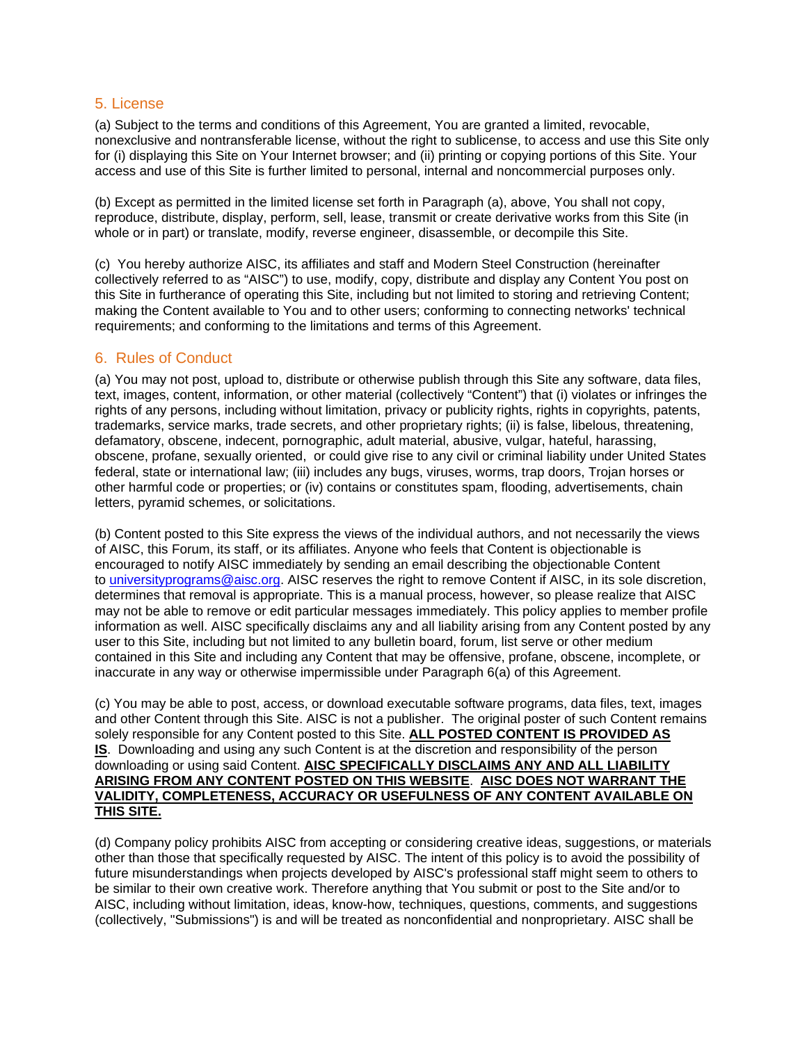## 5. License

(a) Subject to the terms and conditions of this Agreement, You are granted a limited, revocable, nonexclusive and nontransferable license, without the right to sublicense, to access and use this Site only for (i) displaying this Site on Your Internet browser; and (ii) printing or copying portions of this Site. Your access and use of this Site is further limited to personal, internal and noncommercial purposes only.

(b) Except as permitted in the limited license set forth in Paragraph (a), above, You shall not copy, reproduce, distribute, display, perform, sell, lease, transmit or create derivative works from this Site (in whole or in part) or translate, modify, reverse engineer, disassemble, or decompile this Site.

(c) You hereby authorize AISC, its affiliates and staff and Modern Steel Construction (hereinafter collectively referred to as "AISC") to use, modify, copy, distribute and display any Content You post on this Site in furtherance of operating this Site, including but not limited to storing and retrieving Content; making the Content available to You and to other users; conforming to connecting networks' technical requirements; and conforming to the limitations and terms of this Agreement.

# 6. Rules of Conduct

(a) You may not post, upload to, distribute or otherwise publish through this Site any software, data files, text, images, content, information, or other material (collectively "Content") that (i) violates or infringes the rights of any persons, including without limitation, privacy or publicity rights, rights in copyrights, patents, trademarks, service marks, trade secrets, and other proprietary rights; (ii) is false, libelous, threatening, defamatory, obscene, indecent, pornographic, adult material, abusive, vulgar, hateful, harassing, obscene, profane, sexually oriented, or could give rise to any civil or criminal liability under United States federal, state or international law; (iii) includes any bugs, viruses, worms, trap doors, Trojan horses or other harmful code or properties; or (iv) contains or constitutes spam, flooding, advertisements, chain letters, pyramid schemes, or solicitations.

(b) Content posted to this Site express the views of the individual authors, and not necessarily the views of AISC, this Forum, its staff, or its affiliates. Anyone who feels that Content is objectionable is encouraged to notify AISC immediately by sending an email describing the objectionable Content to universityprograms@aisc.org. AISC reserves the right to remove Content if AISC, in its sole discretion, determines that removal is appropriate. This is a manual process, however, so please realize that AISC may not be able to remove or edit particular messages immediately. This policy applies to member profile information as well. AISC specifically disclaims any and all liability arising from any Content posted by any user to this Site, including but not limited to any bulletin board, forum, list serve or other medium contained in this Site and including any Content that may be offensive, profane, obscene, incomplete, or inaccurate in any way or otherwise impermissible under Paragraph 6(a) of this Agreement.

(c) You may be able to post, access, or download executable software programs, data files, text, images and other Content through this Site. AISC is not a publisher. The original poster of such Content remains solely responsible for any Content posted to this Site. **ALL POSTED CONTENT IS PROVIDED AS IS**. Downloading and using any such Content is at the discretion and responsibility of the person downloading or using said Content. **AISC SPECIFICALLY DISCLAIMS ANY AND ALL LIABILITY ARISING FROM ANY CONTENT POSTED ON THIS WEBSITE**. **AISC DOES NOT WARRANT THE VALIDITY, COMPLETENESS, ACCURACY OR USEFULNESS OF ANY CONTENT AVAILABLE ON THIS SITE.**

(d) Company policy prohibits AISC from accepting or considering creative ideas, suggestions, or materials other than those that specifically requested by AISC. The intent of this policy is to avoid the possibility of future misunderstandings when projects developed by AISC's professional staff might seem to others to be similar to their own creative work. Therefore anything that You submit or post to the Site and/or to AISC, including without limitation, ideas, know-how, techniques, questions, comments, and suggestions (collectively, "Submissions") is and will be treated as nonconfidential and nonproprietary. AISC shall be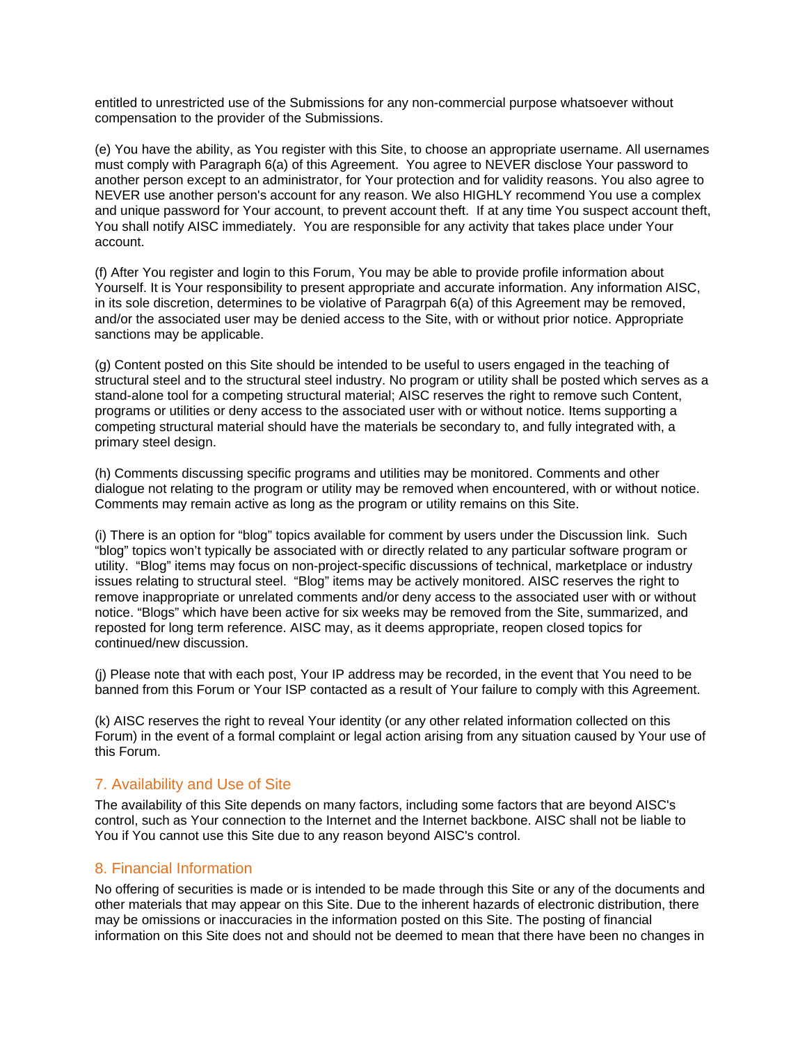entitled to unrestricted use of the Submissions for any non-commercial purpose whatsoever without compensation to the provider of the Submissions.

(e) You have the ability, as You register with this Site, to choose an appropriate username. All usernames must comply with Paragraph 6(a) of this Agreement. You agree to NEVER disclose Your password to another person except to an administrator, for Your protection and for validity reasons. You also agree to NEVER use another person's account for any reason. We also HIGHLY recommend You use a complex and unique password for Your account, to prevent account theft. If at any time You suspect account theft, You shall notify AISC immediately. You are responsible for any activity that takes place under Your account.

(f) After You register and login to this Forum, You may be able to provide profile information about Yourself. It is Your responsibility to present appropriate and accurate information. Any information AISC, in its sole discretion, determines to be violative of Paragrpah 6(a) of this Agreement may be removed, and/or the associated user may be denied access to the Site, with or without prior notice. Appropriate sanctions may be applicable.

(g) Content posted on this Site should be intended to be useful to users engaged in the teaching of structural steel and to the structural steel industry. No program or utility shall be posted which serves as a stand-alone tool for a competing structural material; AISC reserves the right to remove such Content, programs or utilities or deny access to the associated user with or without notice. Items supporting a competing structural material should have the materials be secondary to, and fully integrated with, a primary steel design.

(h) Comments discussing specific programs and utilities may be monitored. Comments and other dialogue not relating to the program or utility may be removed when encountered, with or without notice. Comments may remain active as long as the program or utility remains on this Site.

(i) There is an option for "blog" topics available for comment by users under the Discussion link. Such "blog" topics won't typically be associated with or directly related to any particular software program or utility. "Blog" items may focus on non-project-specific discussions of technical, marketplace or industry issues relating to structural steel. "Blog" items may be actively monitored. AISC reserves the right to remove inappropriate or unrelated comments and/or deny access to the associated user with or without notice. "Blogs" which have been active for six weeks may be removed from the Site, summarized, and reposted for long term reference. AISC may, as it deems appropriate, reopen closed topics for continued/new discussion.

(j) Please note that with each post, Your IP address may be recorded, in the event that You need to be banned from this Forum or Your ISP contacted as a result of Your failure to comply with this Agreement.

(k) AISC reserves the right to reveal Your identity (or any other related information collected on this Forum) in the event of a formal complaint or legal action arising from any situation caused by Your use of this Forum.

## 7. Availability and Use of Site

The availability of this Site depends on many factors, including some factors that are beyond AISC's control, such as Your connection to the Internet and the Internet backbone. AISC shall not be liable to You if You cannot use this Site due to any reason beyond AISC's control.

## 8. Financial Information

No offering of securities is made or is intended to be made through this Site or any of the documents and other materials that may appear on this Site. Due to the inherent hazards of electronic distribution, there may be omissions or inaccuracies in the information posted on this Site. The posting of financial information on this Site does not and should not be deemed to mean that there have been no changes in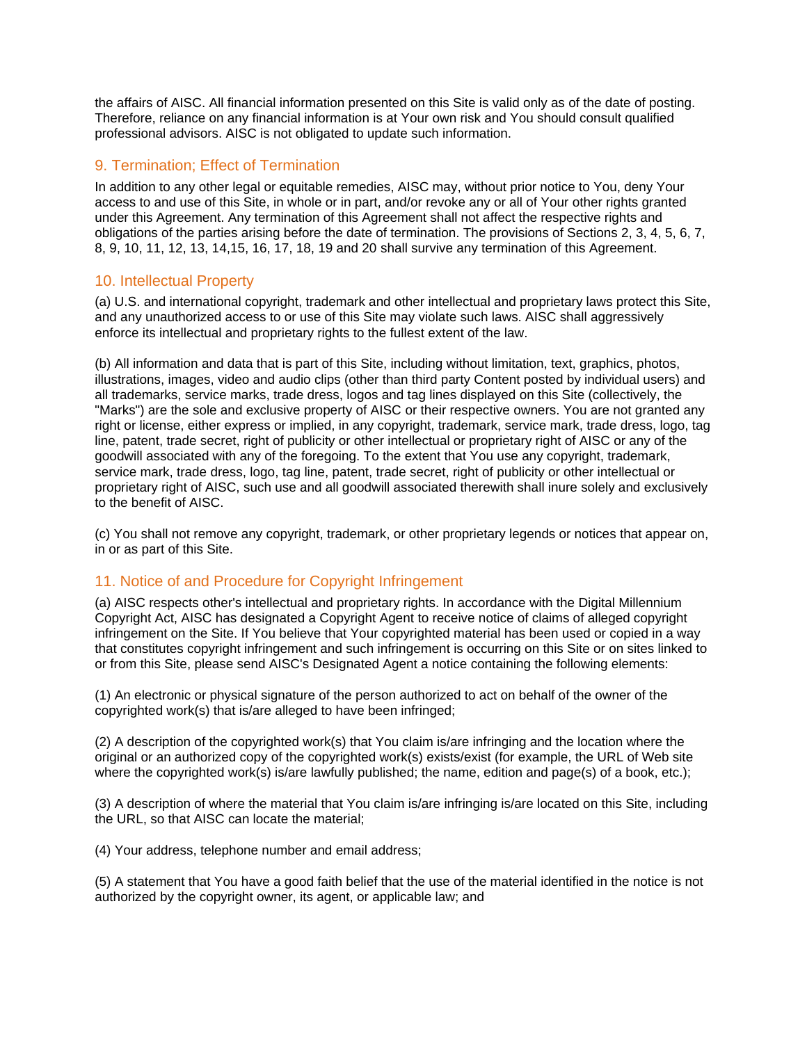the affairs of AISC. All financial information presented on this Site is valid only as of the date of posting. Therefore, reliance on any financial information is at Your own risk and You should consult qualified professional advisors. AISC is not obligated to update such information.

# 9. Termination; Effect of Termination

In addition to any other legal or equitable remedies, AISC may, without prior notice to You, deny Your access to and use of this Site, in whole or in part, and/or revoke any or all of Your other rights granted under this Agreement. Any termination of this Agreement shall not affect the respective rights and obligations of the parties arising before the date of termination. The provisions of Sections 2, 3, 4, 5, 6, 7, 8, 9, 10, 11, 12, 13, 14,15, 16, 17, 18, 19 and 20 shall survive any termination of this Agreement.

# 10. Intellectual Property

(a) U.S. and international copyright, trademark and other intellectual and proprietary laws protect this Site, and any unauthorized access to or use of this Site may violate such laws. AISC shall aggressively enforce its intellectual and proprietary rights to the fullest extent of the law.

(b) All information and data that is part of this Site, including without limitation, text, graphics, photos, illustrations, images, video and audio clips (other than third party Content posted by individual users) and all trademarks, service marks, trade dress, logos and tag lines displayed on this Site (collectively, the "Marks") are the sole and exclusive property of AISC or their respective owners. You are not granted any right or license, either express or implied, in any copyright, trademark, service mark, trade dress, logo, tag line, patent, trade secret, right of publicity or other intellectual or proprietary right of AISC or any of the goodwill associated with any of the foregoing. To the extent that You use any copyright, trademark, service mark, trade dress, logo, tag line, patent, trade secret, right of publicity or other intellectual or proprietary right of AISC, such use and all goodwill associated therewith shall inure solely and exclusively to the benefit of AISC.

(c) You shall not remove any copyright, trademark, or other proprietary legends or notices that appear on, in or as part of this Site.

# 11. Notice of and Procedure for Copyright Infringement

(a) AISC respects other's intellectual and proprietary rights. In accordance with the Digital Millennium Copyright Act, AISC has designated a Copyright Agent to receive notice of claims of alleged copyright infringement on the Site. If You believe that Your copyrighted material has been used or copied in a way that constitutes copyright infringement and such infringement is occurring on this Site or on sites linked to or from this Site, please send AISC's Designated Agent a notice containing the following elements:

(1) An electronic or physical signature of the person authorized to act on behalf of the owner of the copyrighted work(s) that is/are alleged to have been infringed;

(2) A description of the copyrighted work(s) that You claim is/are infringing and the location where the original or an authorized copy of the copyrighted work(s) exists/exist (for example, the URL of Web site where the copyrighted work(s) is/are lawfully published; the name, edition and page(s) of a book, etc.);

(3) A description of where the material that You claim is/are infringing is/are located on this Site, including the URL, so that AISC can locate the material;

(4) Your address, telephone number and email address;

(5) A statement that You have a good faith belief that the use of the material identified in the notice is not authorized by the copyright owner, its agent, or applicable law; and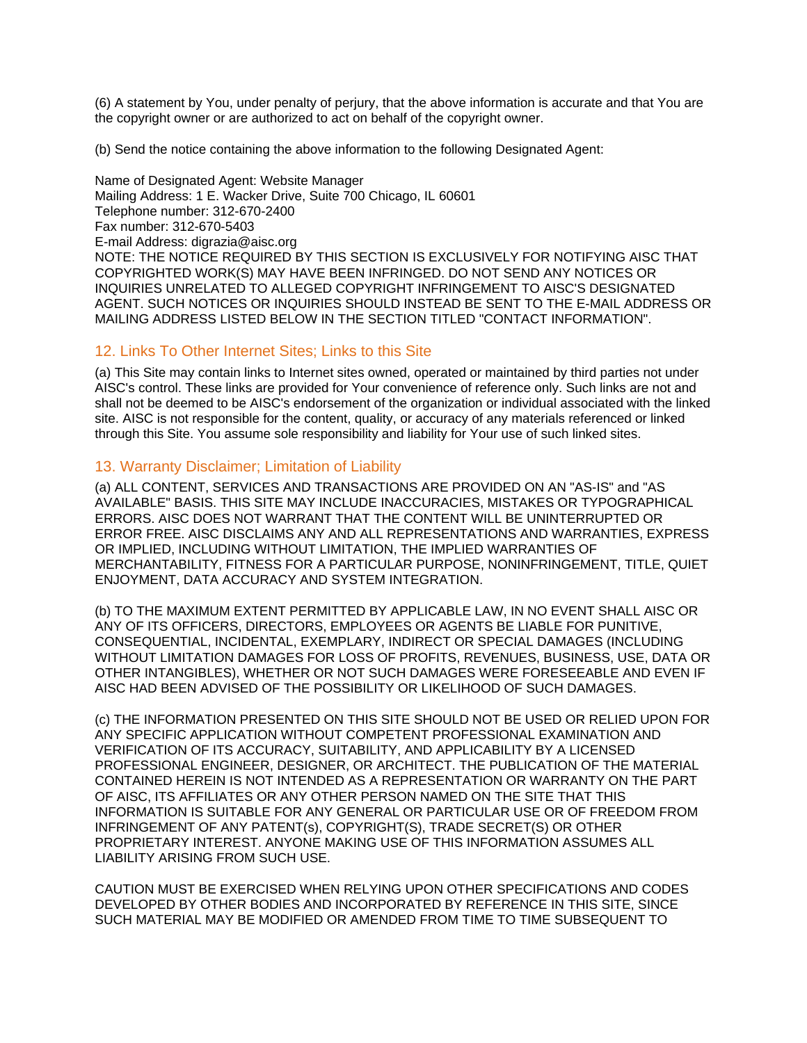(6) A statement by You, under penalty of perjury, that the above information is accurate and that You are the copyright owner or are authorized to act on behalf of the copyright owner.

(b) Send the notice containing the above information to the following Designated Agent:

Name of Designated Agent: Website Manager Mailing Address: 1 E. Wacker Drive, Suite 700 Chicago, IL 60601 Telephone number: 312-670-2400 Fax number: 312-670-5403 E-mail Address: digrazia@aisc.org NOTE: THE NOTICE REQUIRED BY THIS SECTION IS EXCLUSIVELY FOR NOTIFYING AISC THAT COPYRIGHTED WORK(S) MAY HAVE BEEN INFRINGED. DO NOT SEND ANY NOTICES OR INQUIRIES UNRELATED TO ALLEGED COPYRIGHT INFRINGEMENT TO AISC'S DESIGNATED AGENT. SUCH NOTICES OR INQUIRIES SHOULD INSTEAD BE SENT TO THE E-MAIL ADDRESS OR MAILING ADDRESS LISTED BELOW IN THE SECTION TITLED "CONTACT INFORMATION".

## 12. Links To Other Internet Sites; Links to this Site

(a) This Site may contain links to Internet sites owned, operated or maintained by third parties not under AISC's control. These links are provided for Your convenience of reference only. Such links are not and shall not be deemed to be AISC's endorsement of the organization or individual associated with the linked site. AISC is not responsible for the content, quality, or accuracy of any materials referenced or linked through this Site. You assume sole responsibility and liability for Your use of such linked sites.

## 13. Warranty Disclaimer; Limitation of Liability

(a) ALL CONTENT, SERVICES AND TRANSACTIONS ARE PROVIDED ON AN "AS-IS" and "AS AVAILABLE" BASIS. THIS SITE MAY INCLUDE INACCURACIES, MISTAKES OR TYPOGRAPHICAL ERRORS. AISC DOES NOT WARRANT THAT THE CONTENT WILL BE UNINTERRUPTED OR ERROR FREE. AISC DISCLAIMS ANY AND ALL REPRESENTATIONS AND WARRANTIES, EXPRESS OR IMPLIED, INCLUDING WITHOUT LIMITATION, THE IMPLIED WARRANTIES OF MERCHANTABILITY, FITNESS FOR A PARTICULAR PURPOSE, NONINFRINGEMENT, TITLE, QUIET ENJOYMENT, DATA ACCURACY AND SYSTEM INTEGRATION.

(b) TO THE MAXIMUM EXTENT PERMITTED BY APPLICABLE LAW, IN NO EVENT SHALL AISC OR ANY OF ITS OFFICERS, DIRECTORS, EMPLOYEES OR AGENTS BE LIABLE FOR PUNITIVE, CONSEQUENTIAL, INCIDENTAL, EXEMPLARY, INDIRECT OR SPECIAL DAMAGES (INCLUDING WITHOUT LIMITATION DAMAGES FOR LOSS OF PROFITS, REVENUES, BUSINESS, USE, DATA OR OTHER INTANGIBLES), WHETHER OR NOT SUCH DAMAGES WERE FORESEEABLE AND EVEN IF AISC HAD BEEN ADVISED OF THE POSSIBILITY OR LIKELIHOOD OF SUCH DAMAGES.

(c) THE INFORMATION PRESENTED ON THIS SITE SHOULD NOT BE USED OR RELIED UPON FOR ANY SPECIFIC APPLICATION WITHOUT COMPETENT PROFESSIONAL EXAMINATION AND VERIFICATION OF ITS ACCURACY, SUITABILITY, AND APPLICABILITY BY A LICENSED PROFESSIONAL ENGINEER, DESIGNER, OR ARCHITECT. THE PUBLICATION OF THE MATERIAL CONTAINED HEREIN IS NOT INTENDED AS A REPRESENTATION OR WARRANTY ON THE PART OF AISC, ITS AFFILIATES OR ANY OTHER PERSON NAMED ON THE SITE THAT THIS INFORMATION IS SUITABLE FOR ANY GENERAL OR PARTICULAR USE OR OF FREEDOM FROM INFRINGEMENT OF ANY PATENT(s), COPYRIGHT(S), TRADE SECRET(S) OR OTHER PROPRIETARY INTEREST. ANYONE MAKING USE OF THIS INFORMATION ASSUMES ALL LIABILITY ARISING FROM SUCH USE.

CAUTION MUST BE EXERCISED WHEN RELYING UPON OTHER SPECIFICATIONS AND CODES DEVELOPED BY OTHER BODIES AND INCORPORATED BY REFERENCE IN THIS SITE, SINCE SUCH MATERIAL MAY BE MODIFIED OR AMENDED FROM TIME TO TIME SUBSEQUENT TO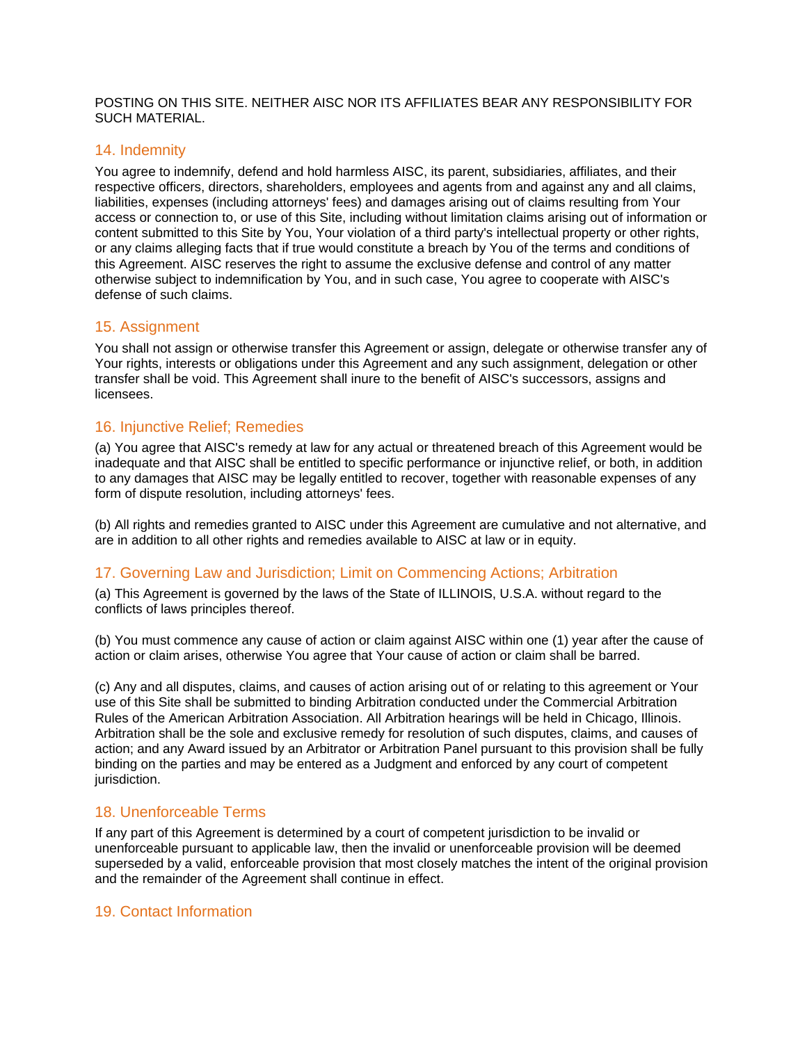POSTING ON THIS SITE. NEITHER AISC NOR ITS AFFILIATES BEAR ANY RESPONSIBILITY FOR SUCH MATERIAL.

## 14. Indemnity

You agree to indemnify, defend and hold harmless AISC, its parent, subsidiaries, affiliates, and their respective officers, directors, shareholders, employees and agents from and against any and all claims, liabilities, expenses (including attorneys' fees) and damages arising out of claims resulting from Your access or connection to, or use of this Site, including without limitation claims arising out of information or content submitted to this Site by You, Your violation of a third party's intellectual property or other rights, or any claims alleging facts that if true would constitute a breach by You of the terms and conditions of this Agreement. AISC reserves the right to assume the exclusive defense and control of any matter otherwise subject to indemnification by You, and in such case, You agree to cooperate with AISC's defense of such claims.

# 15. Assignment

You shall not assign or otherwise transfer this Agreement or assign, delegate or otherwise transfer any of Your rights, interests or obligations under this Agreement and any such assignment, delegation or other transfer shall be void. This Agreement shall inure to the benefit of AISC's successors, assigns and licensees.

# 16. Injunctive Relief; Remedies

(a) You agree that AISC's remedy at law for any actual or threatened breach of this Agreement would be inadequate and that AISC shall be entitled to specific performance or injunctive relief, or both, in addition to any damages that AISC may be legally entitled to recover, together with reasonable expenses of any form of dispute resolution, including attorneys' fees.

(b) All rights and remedies granted to AISC under this Agreement are cumulative and not alternative, and are in addition to all other rights and remedies available to AISC at law or in equity.

# 17. Governing Law and Jurisdiction; Limit on Commencing Actions; Arbitration

(a) This Agreement is governed by the laws of the State of ILLINOIS, U.S.A. without regard to the conflicts of laws principles thereof.

(b) You must commence any cause of action or claim against AISC within one (1) year after the cause of action or claim arises, otherwise You agree that Your cause of action or claim shall be barred.

(c) Any and all disputes, claims, and causes of action arising out of or relating to this agreement or Your use of this Site shall be submitted to binding Arbitration conducted under the Commercial Arbitration Rules of the American Arbitration Association. All Arbitration hearings will be held in Chicago, Illinois. Arbitration shall be the sole and exclusive remedy for resolution of such disputes, claims, and causes of action; and any Award issued by an Arbitrator or Arbitration Panel pursuant to this provision shall be fully binding on the parties and may be entered as a Judgment and enforced by any court of competent jurisdiction.

# 18. Unenforceable Terms

If any part of this Agreement is determined by a court of competent jurisdiction to be invalid or unenforceable pursuant to applicable law, then the invalid or unenforceable provision will be deemed superseded by a valid, enforceable provision that most closely matches the intent of the original provision and the remainder of the Agreement shall continue in effect.

## 19. Contact Information